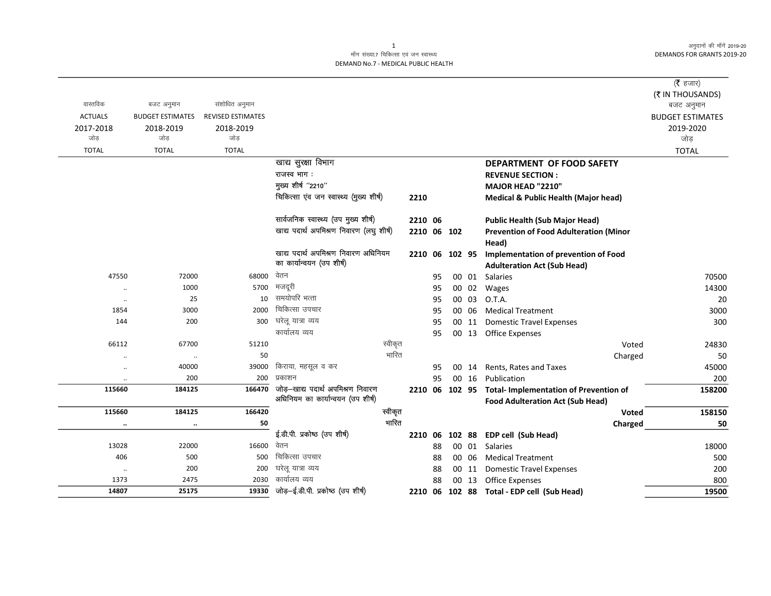अनुदानों की माँगें 2019-20 DEMANDS FOR GRANTS 2019-20

## माँग संख्या.7 चिकित्सा एवं जन स्वास्थ्य DEMAND No.7 - MEDICAL PUBLIC HEALTH

|                      |                         |                          |                                          |       |             |    |           |       |                                               | ( $\bar{\tau}$ हजार)    |
|----------------------|-------------------------|--------------------------|------------------------------------------|-------|-------------|----|-----------|-------|-----------------------------------------------|-------------------------|
|                      |                         |                          |                                          |       |             |    |           |       |                                               | (₹ IN THOUSANDS)        |
| वास्तविक             | बजट अनुमान              | संशोधित अनुमान           |                                          |       |             |    |           |       |                                               | बजट अनुमान              |
| <b>ACTUALS</b>       | <b>BUDGET ESTIMATES</b> | <b>REVISED ESTIMATES</b> |                                          |       |             |    |           |       |                                               | <b>BUDGET ESTIMATES</b> |
| 2017-2018            | 2018-2019               | 2018-2019                |                                          |       |             |    |           |       |                                               | 2019-2020               |
| जोड                  | जोड                     | जोड                      |                                          |       |             |    |           |       |                                               | जोड                     |
| <b>TOTAL</b>         | <b>TOTAL</b>            | <b>TOTAL</b>             |                                          |       |             |    |           |       |                                               | <b>TOTAL</b>            |
|                      |                         |                          | खाद्य सुरक्षा विभाग                      |       |             |    |           |       | DEPARTMENT OF FOOD SAFETY                     |                         |
|                      |                         |                          | राजस्व भाग :                             |       |             |    |           |       | <b>REVENUE SECTION:</b>                       |                         |
|                      |                         |                          | मुख्य शीर्ष "2210"                       |       |             |    |           |       | MAJOR HEAD "2210"                             |                         |
|                      |                         |                          | चिकित्सा एंव जन स्वास्थ्य (मुख्य शीर्ष)  |       | 2210        |    |           |       | Medical & Public Health (Major head)          |                         |
|                      |                         |                          | सार्वजनिक स्वास्थ्य (उप मुख्य शीर्ष)     |       | 2210 06     |    |           |       | <b>Public Health (Sub Major Head)</b>         |                         |
|                      |                         |                          | खाद्य पदार्थ अपमिश्रण निवारण (लघु शीर्ष) |       | 2210 06 102 |    |           |       | <b>Prevention of Food Adulteration (Minor</b> |                         |
|                      |                         |                          |                                          |       |             |    |           |       | Head)                                         |                         |
|                      |                         |                          | खाद्य पदार्थ अपमिश्रण निवारण अधिनियम     |       | 2210        |    | 06 102 95 |       | <b>Implementation of prevention of Food</b>   |                         |
|                      |                         |                          | का कार्यान्वयन (उप शीर्ष)                |       |             |    |           |       | <b>Adulteration Act (Sub Head)</b>            |                         |
| 47550                | 72000                   | 68000                    | वेतन                                     |       |             | 95 |           | 00 01 | Salaries                                      | 70500                   |
| $\ddot{\phantom{0}}$ | 1000                    | 5700                     | मजदूरी                                   |       |             | 95 |           | 00 02 | Wages                                         | 14300                   |
| $\cdot$              | 25                      | 10                       | समयोपरि भत्ता                            |       |             | 95 |           | 00 03 | O.T.A.                                        | 20                      |
| 1854                 | 3000                    | 2000                     | चिकित्सा उपचार                           |       |             | 95 |           | 00 06 | <b>Medical Treatment</b>                      | 3000                    |
| 144                  | 200                     | 300                      | घरेलू यात्रा व्यय                        |       |             | 95 |           | 00 11 | <b>Domestic Travel Expenses</b>               | 300                     |
|                      |                         |                          | कार्यालय व्यय                            |       |             | 95 |           |       | 00 13 Office Expenses                         |                         |
| 66112                | 67700                   | 51210                    | स्वीकृत                                  |       |             |    |           |       | Voted                                         | 24830                   |
|                      | $\ddot{\phantom{0}}$    | 50                       |                                          | भारित |             |    |           |       | Charged                                       | 50                      |
| $\ddot{\phantom{0}}$ | 40000                   | 39000                    | किराया, महसूल व कर                       |       |             | 95 |           | 00 14 | Rents, Rates and Taxes                        | 45000                   |
|                      | 200                     | 200                      | प्रकाशन                                  |       |             | 95 |           | 00 16 | Publication                                   | 200                     |
| 115660               | 184125                  | 166470                   | जोड़-खाद्य पदार्थ अपमिश्रण निवारण        |       | 2210 06     |    | 102 95    |       | <b>Total-Implementation of Prevention of</b>  | 158200                  |
|                      |                         |                          | अधिनियम का कार्यान्वयन (उप शीर्ष)        |       |             |    |           |       | <b>Food Adulteration Act (Sub Head)</b>       |                         |
| 115660               | 184125                  | 166420                   | स्वीकृत                                  |       |             |    |           |       | Voted                                         | 158150                  |
|                      | $\cdot \cdot$           | 50                       |                                          | भारित |             |    |           |       | Charged                                       | 50                      |
|                      |                         |                          | ई.डी.पी. प्रकोष्ठ (उप शीर्ष)             |       | 2210 06     |    | 102 88    |       | EDP cell (Sub Head)                           |                         |
| 13028                | 22000                   | 16600                    | वेतन                                     |       |             | 88 |           | 00 01 | Salaries                                      | 18000                   |
| 406                  | 500                     | 500                      | चिकित्सा उपचार                           |       |             | 88 |           | 00 06 | <b>Medical Treatment</b>                      | 500                     |
| $\cdot\cdot$         | 200                     | 200                      | घरेलू यात्रा व्यय                        |       |             | 88 |           | 00 11 | <b>Domestic Travel Expenses</b>               | 200                     |
| 1373                 | 2475                    | 2030                     | कार्यालय व्यय                            |       |             | 88 |           | 00 13 | <b>Office Expenses</b>                        | 800                     |
| 14807                | 25175                   | 19330                    | जोड़-ई.डी.पी. प्रकोष्ठ (उप शीर्ष)        |       | 2210 06     |    |           |       | 102 88 Total - EDP cell (Sub Head)            | 19500                   |

1